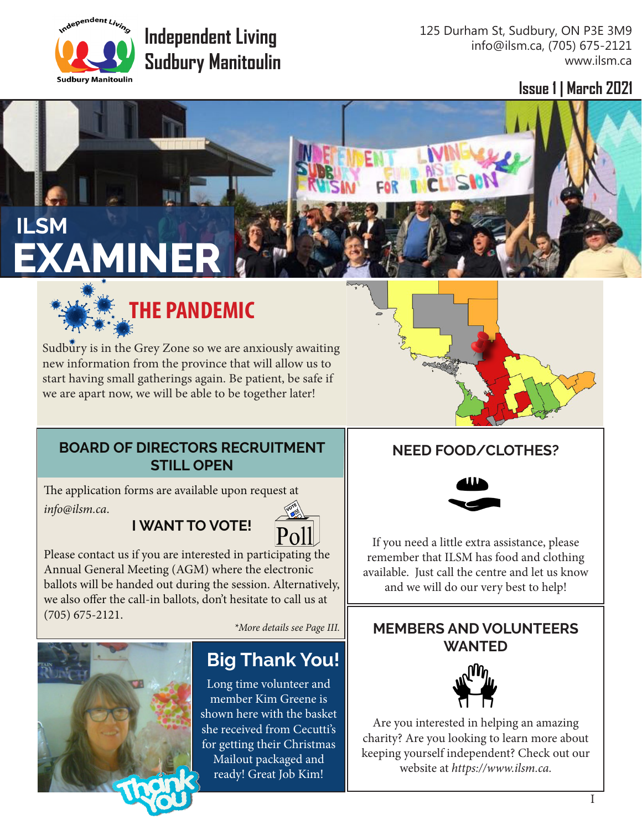

# **Independent Living Sudbury Manitoulin**

125 Durham St, Sudbury, ON P3E 3M9 info@ilsm.ca, (705) 675-2121 www.ilsm.ca

**Issue 1 | March 2021**

# **ILSM EXAMINER**



Sudbury is in the Grey Zone so we are anxiously awaiting new information from the province that will allow us to start having small gatherings again. Be patient, be safe if we are apart now, we will be able to be together later!

#### **BOARD OF DIRECTORS RECRUITMENT STILL OPEN**

The application forms are available upon request at *info@ilsm.ca*.

### **I WANT TO VOTE!**



Please contact us if you are interested in participating the Annual General Meeting (AGM) where the electronic ballots will be handed out during the session. Alternatively, we also offer the call-in ballots, don't hesitate to call us at (705) 675-2121.

*\*More details see Page III.*



## **Big Thank You!**

Long time volunteer and member Kim Greene is shown here with the basket she received from Cecutti's for getting their Christmas Mailout packaged and ready! Great Job Kim!

#### **NEED FOOD/CLOTHES?**



If you need a little extra assistance, please remember that ILSM has food and clothing available. Just call the centre and let us know and we will do our very best to help!

#### **MEMBERS AND VOLUNTEERS WANTED**



Are you interested in helping an amazing charity? Are you looking to learn more about keeping yourself independent? Check out our website at *https://www.ilsm.ca.*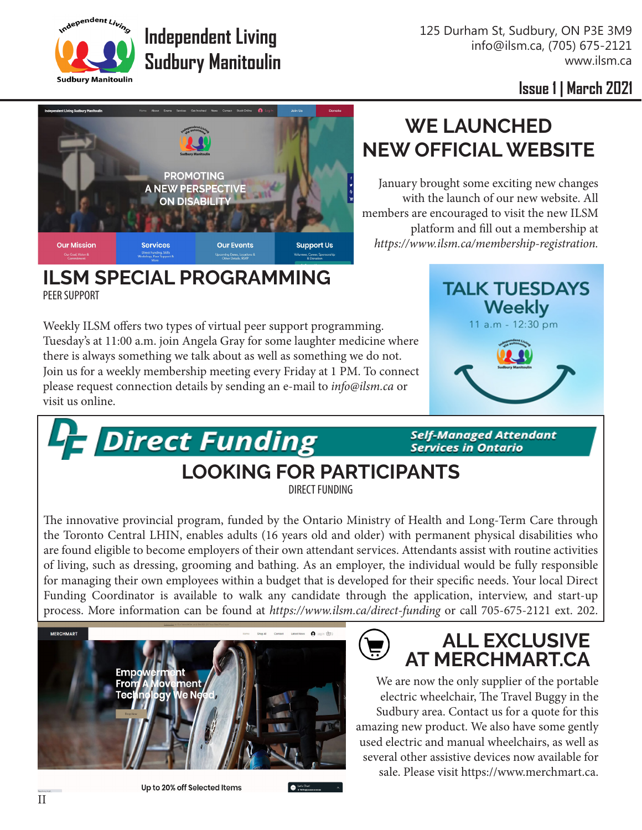125 Durham St, Sudbury, ON P3E 3M9 info@ilsm.ca, (705) 675-2121 www.ilsm.ca

**WE LAUNCHED** 

January brought some exciting new changes with the launch of our new website. All

*https://www.ilsm.ca/membership-registration.* 

platform and fill out a membership at

Independent Living **Sudbury Manitoulin** 

**Issue 1 | March 2021**



**Independent Living** 

**Sudbury Manitoulin**

#### **ILSM SPECIAL PROGRAMMING** PEER SUPPORT

**Francisco Propert Funding** 

Weekly ILSM offers two types of virtual peer support programming. Tuesday's at 11:00 a.m. join Angela Gray for some laughter medicine where there is always something we talk about as well as something we do not. Join us for a weekly membership meeting every Friday at 1 PM. To connect please request connection details by sending an e-mail to *info@ilsm.ca* or visit us online.



**Self-Managed Attendant Services in Ontario** 

#### **LOOKING FOR PARTICIPANTS** DIRECT FUNDING

The innovative provincial program, funded by the Ontario Ministry of Health and Long-Term Care through the Toronto Central LHIN, enables adults (16 years old and older) with permanent physical disabilities who are found eligible to become employers of their own attendant services. Attendants assist with routine activities of living, such as dressing, grooming and bathing. As an employer, the individual would be fully responsible for managing their own employees within a budget that is developed for their specific needs. Your local Direct Funding Coordinator is available to walk any candidate through the application, interview, and start-up process. More information can be found at *https://www.ilsm.ca/direct-funding* or call 705-675-2121 ext. 202.

یا ہا



Up to 20% off Selected Items

#### **ALL EXCLUSIVE AT MERCHMART.CA**

We are now the only supplier of the portable electric wheelchair, The Travel Buggy in the Sudbury area. Contact us for a quote for this amazing new product. We also have some gently used electric and manual wheelchairs, as well as several other assistive devices now available for sale. Please visit https://www.merchmart.ca.